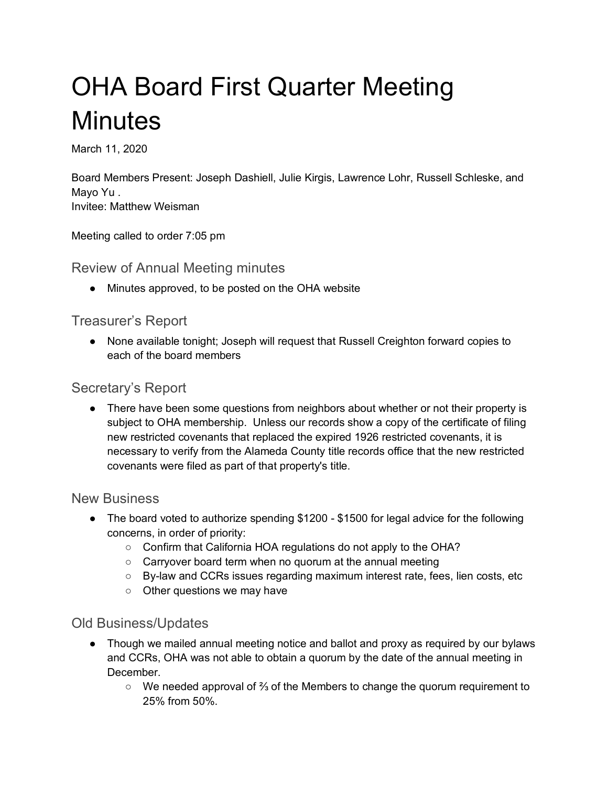# OHA Board First Quarter Meeting **Minutes**

March 11, 2020

Board Members Present: Joseph Dashiell, Julie Kirgis, Lawrence Lohr, Russell Schleske, and Mayo Yu . Invitee: Matthew Weisman

Meeting called to order 7:05 pm

Review of Annual Meeting minutes

● Minutes approved, to be posted on the OHA website

## Treasurer's Report

● None available tonight; Joseph will request that Russell Creighton forward copies to each of the board members

# Secretary's Report

• There have been some questions from neighbors about whether or not their property is subject to OHA membership. Unless our records show a copy of the certificate of filing new restricted covenants that replaced the expired 1926 restricted covenants, it is necessary to verify from the Alameda County title records office that the new restricted covenants were filed as part of that property's title.

#### New Business

- The board voted to authorize spending \$1200 \$1500 for legal advice for the following concerns, in order of priority:
	- Confirm that California HOA regulations do not apply to the OHA?
	- Carryover board term when no quorum at the annual meeting
	- By-law and CCRs issues regarding maximum interest rate, fees, lien costs, etc
	- Other questions we may have

## Old Business/Updates

- Though we mailed annual meeting notice and ballot and proxy as required by our bylaws and CCRs, OHA was not able to obtain a quorum by the date of the annual meeting in December.
	- We needed approval of ⅔ of the Members to change the quorum requirement to 25% from 50%.